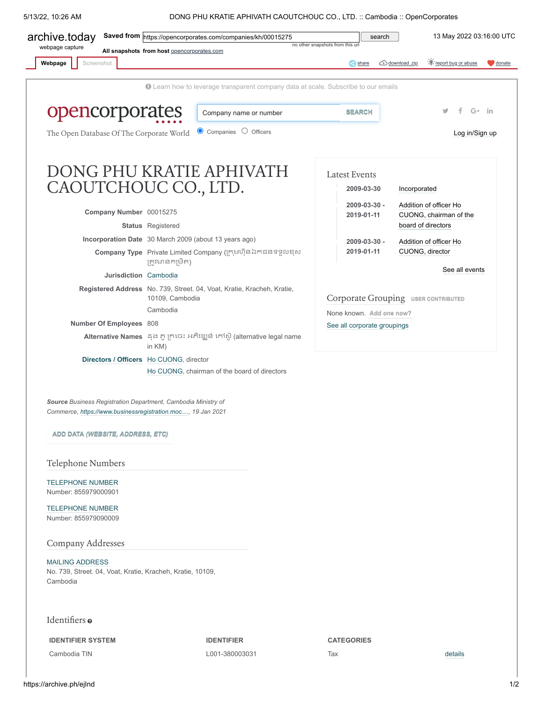5/13/22, 10:26 AM DONG PHU KRATIE APHIVATH CAOUTCHOUC CO., LTD. :: Cambodia :: OpenCorporates



<span id="page-0-0"></span>*Source Business Registration Department, Cambodia Ministry of Commerce, [https://www.businessregistration.moc....,](https://archive.ph/o/ejInd/https://www.businessregistration.moc.gov.kh/) 19 Jan 2021*

**ADD DATA** *[\(WEBSITE, ADDRESS, ETC\)](https://archive.ph/o/ejInd/https://opencorporates.com/data/new?company_number=00015275&jurisdiction_code=kh)*

Telephone Numbers

[TELEPHONE NUMBER](https://archive.ph/o/ejInd/https://opencorporates.com/data/54265979) Number: 855979000901

[TELEPHONE NUMBER](https://archive.ph/o/ejInd/https://opencorporates.com/data/69683483) Number: 855979090009

Company Addresses

[MAILING ADDRESS](https://archive.ph/o/ejInd/https://opencorporates.com/data/54265978) No. 739, Street. 04, Voat, Kratie, Kracheh, Kratie, 10109, Cambodia

Identifiers o

**IDENTIFIER SYSTEM IDENTIFIER CATEGORIES**

Cambodia TIN L001-380003031 Tax [details](https://archive.ph/o/ejInd/https://opencorporates.com/statements/529881850)